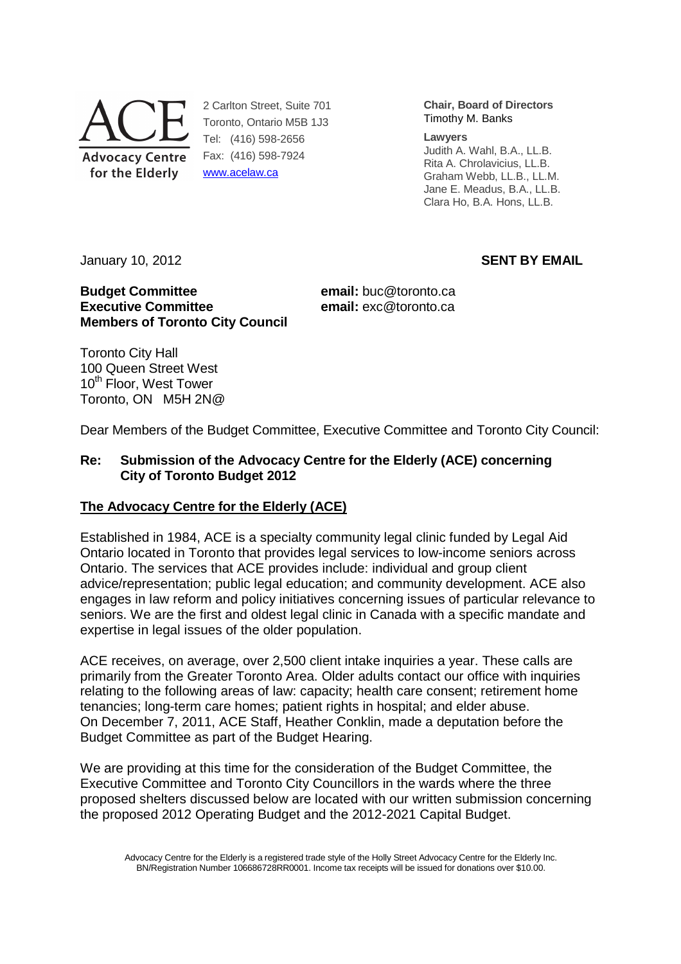

2 Carlton Street, Suite 701 Toronto, Ontario M5B 1J3 Tel: (416) 598-2656 Fax: (416) 598-7924 www.acelaw.ca

**Chair, Board of Directors** Timothy M. Banks

#### **Lawyers**

Judith A. Wahl, B.A., LL.B. Rita A. Chrolavicius, LL.B. Graham Webb, LL.B., LL.M. Jane E. Meadus, B.A., LL.B. Clara Ho, B.A. Hons, LL.B.

January 10, 2012 **SENT BY EMAIL** 

#### **Budget Committee email:** buc@toronto.ca **Executive Committee executive Committee email:** exc@toronto.ca **Members of Toronto City Council**

Toronto City Hall 100 Queen Street West 10<sup>th</sup> Floor, West Tower Toronto, ON M5H 2N@

Dear Members of the Budget Committee, Executive Committee and Toronto City Council:

## **Re: Submission of the Advocacy Centre for the Elderly (ACE) concerning City of Toronto Budget 2012**

## **The Advocacy Centre for the Elderly (ACE)**

Established in 1984, ACE is a specialty community legal clinic funded by Legal Aid Ontario located in Toronto that provides legal services to low-income seniors across Ontario. The services that ACE provides include: individual and group client advice/representation; public legal education; and community development. ACE also engages in law reform and policy initiatives concerning issues of particular relevance to seniors. We are the first and oldest legal clinic in Canada with a specific mandate and expertise in legal issues of the older population.

ACE receives, on average, over 2,500 client intake inquiries a year. These calls are primarily from the Greater Toronto Area. Older adults contact our office with inquiries relating to the following areas of law: capacity; health care consent; retirement home tenancies; long-term care homes; patient rights in hospital; and elder abuse. On December 7, 2011, ACE Staff, Heather Conklin, made a deputation before the Budget Committee as part of the Budget Hearing.

We are providing at this time for the consideration of the Budget Committee, the Executive Committee and Toronto City Councillors in the wards where the three proposed shelters discussed below are located with our written submission concerning the proposed 2012 Operating Budget and the 2012-2021 Capital Budget.

Advocacy Centre for the Elderly is a registered trade style of the Holly Street Advocacy Centre for the Elderly Inc. BN/Registration Number 106686728RR0001. Income tax receipts will be issued for donations over \$10.00.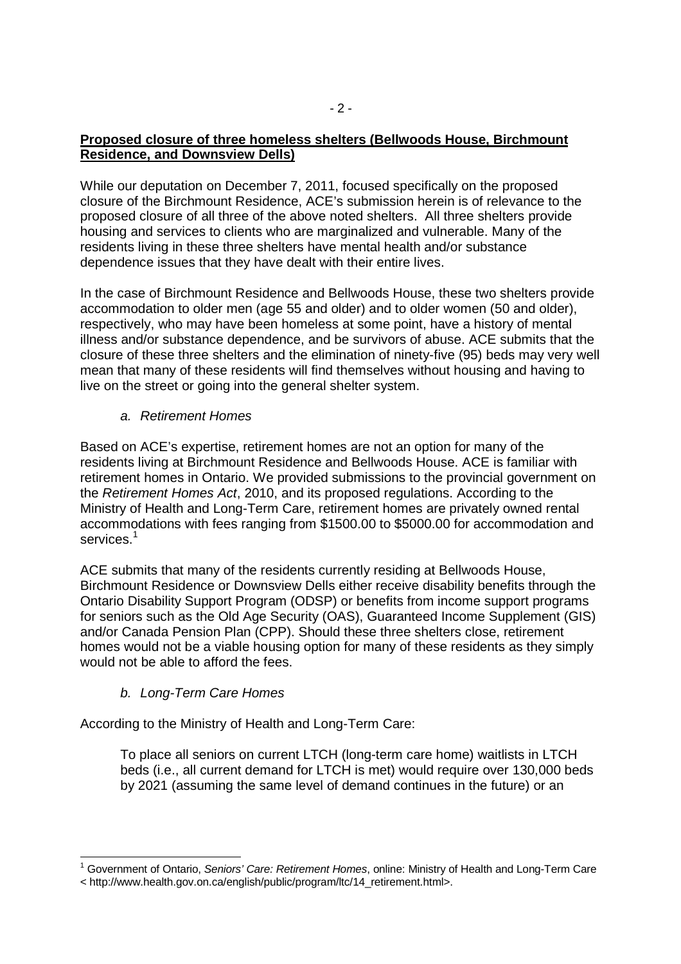#### **Proposed closure of three homeless shelters (Bellwoods House, Birchmount Residence, and Downsview Dells)**

While our deputation on December 7, 2011, focused specifically on the proposed closure of the Birchmount Residence, ACE's submission herein is of relevance to the proposed closure of all three of the above noted shelters. All three shelters provide housing and services to clients who are marginalized and vulnerable. Many of the residents living in these three shelters have mental health and/or substance dependence issues that they have dealt with their entire lives.

In the case of Birchmount Residence and Bellwoods House, these two shelters provide accommodation to older men (age 55 and older) and to older women (50 and older), respectively, who may have been homeless at some point, have a history of mental illness and/or substance dependence, and be survivors of abuse. ACE submits that the closure of these three shelters and the elimination of ninety-five (95) beds may very well mean that many of these residents will find themselves without housing and having to live on the street or going into the general shelter system.

# a. Retirement Homes

Based on ACE's expertise, retirement homes are not an option for many of the residents living at Birchmount Residence and Bellwoods House. ACE is familiar with retirement homes in Ontario. We provided submissions to the provincial government on the Retirement Homes Act, 2010, and its proposed regulations. According to the Ministry of Health and Long-Term Care, retirement homes are privately owned rental accommodations with fees ranging from \$1500.00 to \$5000.00 for accommodation and services. $^\mathrm{1}$ 

ACE submits that many of the residents currently residing at Bellwoods House, Birchmount Residence or Downsview Dells either receive disability benefits through the Ontario Disability Support Program (ODSP) or benefits from income support programs for seniors such as the Old Age Security (OAS), Guaranteed Income Supplement (GIS) and/or Canada Pension Plan (CPP). Should these three shelters close, retirement homes would not be a viable housing option for many of these residents as they simply would not be able to afford the fees.

# b. Long-Term Care Homes

-

According to the Ministry of Health and Long-Term Care:

To place all seniors on current LTCH (long-term care home) waitlists in LTCH beds (i.e., all current demand for LTCH is met) would require over 130,000 beds by 2021 (assuming the same level of demand continues in the future) or an

<sup>&</sup>lt;sup>1</sup> Government of Ontario, Seniors' Care: Retirement Homes, online: Ministry of Health and Long-Term Care

<sup>&</sup>lt; http://www.health.gov.on.ca/english/public/program/ltc/14\_retirement.html>.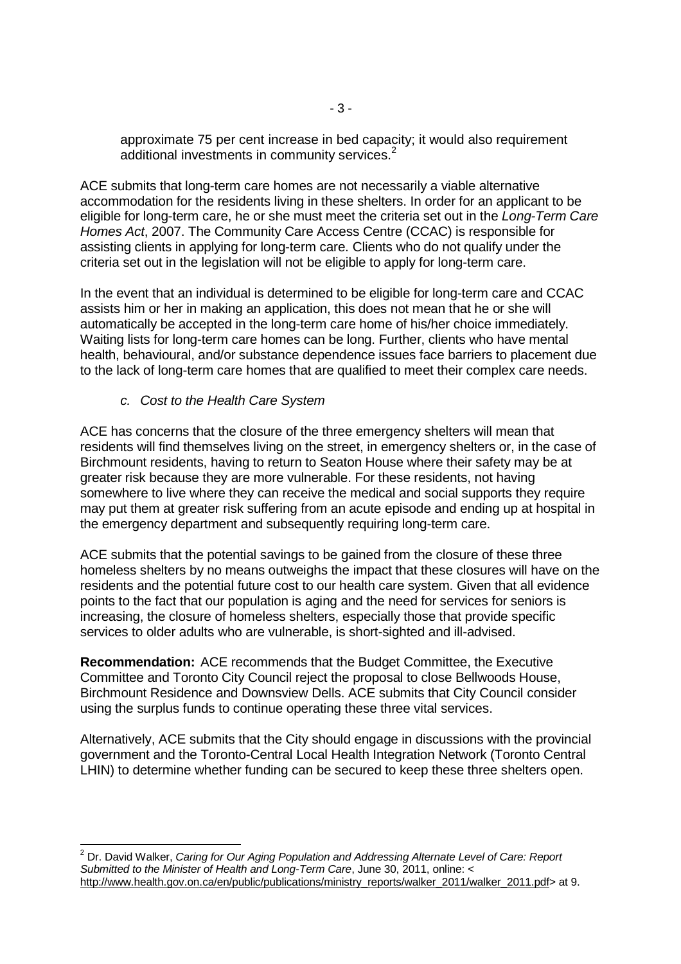approximate 75 per cent increase in bed capacity; it would also requirement additional investments in community services.<sup>2</sup>

ACE submits that long-term care homes are not necessarily a viable alternative accommodation for the residents living in these shelters. In order for an applicant to be eligible for long-term care, he or she must meet the criteria set out in the Long-Term Care Homes Act, 2007. The Community Care Access Centre (CCAC) is responsible for assisting clients in applying for long-term care. Clients who do not qualify under the criteria set out in the legislation will not be eligible to apply for long-term care.

In the event that an individual is determined to be eligible for long-term care and CCAC assists him or her in making an application, this does not mean that he or she will automatically be accepted in the long-term care home of his/her choice immediately. Waiting lists for long-term care homes can be long. Further, clients who have mental health, behavioural, and/or substance dependence issues face barriers to placement due to the lack of long-term care homes that are qualified to meet their complex care needs.

c. Cost to the Health Care System

-

ACE has concerns that the closure of the three emergency shelters will mean that residents will find themselves living on the street, in emergency shelters or, in the case of Birchmount residents, having to return to Seaton House where their safety may be at greater risk because they are more vulnerable. For these residents, not having somewhere to live where they can receive the medical and social supports they require may put them at greater risk suffering from an acute episode and ending up at hospital in the emergency department and subsequently requiring long-term care.

ACE submits that the potential savings to be gained from the closure of these three homeless shelters by no means outweighs the impact that these closures will have on the residents and the potential future cost to our health care system. Given that all evidence points to the fact that our population is aging and the need for services for seniors is increasing, the closure of homeless shelters, especially those that provide specific services to older adults who are vulnerable, is short-sighted and ill-advised.

**Recommendation:** ACE recommends that the Budget Committee, the Executive Committee and Toronto City Council reject the proposal to close Bellwoods House, Birchmount Residence and Downsview Dells. ACE submits that City Council consider using the surplus funds to continue operating these three vital services.

Alternatively, ACE submits that the City should engage in discussions with the provincial government and the Toronto-Central Local Health Integration Network (Toronto Central LHIN) to determine whether funding can be secured to keep these three shelters open.

 $2$  Dr. David Walker, Caring for Our Aging Population and Addressing Alternate Level of Care: Report Submitted to the Minister of Health and Long-Term Care, June 30, 2011, online: < http://www.health.gov.on.ca/en/public/publications/ministry\_reports/walker\_2011/walker\_2011.pdf> at 9.